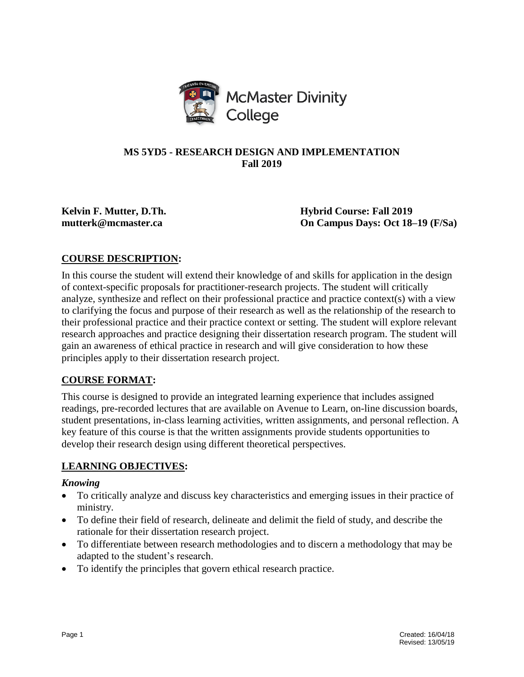

## **MS 5YD5 - RESEARCH DESIGN AND IMPLEMENTATION Fall 2019**

**Kelvin F. Mutter, D.Th. Hybrid Course: Fall 2019 mutterk@mcmaster.ca On Campus Days: Oct 18–19 (F/Sa)**

# **COURSE DESCRIPTION:**

In this course the student will extend their knowledge of and skills for application in the design of context-specific proposals for practitioner-research projects. The student will critically analyze, synthesize and reflect on their professional practice and practice context(s) with a view to clarifying the focus and purpose of their research as well as the relationship of the research to their professional practice and their practice context or setting. The student will explore relevant research approaches and practice designing their dissertation research program. The student will gain an awareness of ethical practice in research and will give consideration to how these principles apply to their dissertation research project.

## **COURSE FORMAT:**

This course is designed to provide an integrated learning experience that includes assigned readings, pre-recorded lectures that are available on Avenue to Learn, on-line discussion boards, student presentations, in-class learning activities, written assignments, and personal reflection. A key feature of this course is that the written assignments provide students opportunities to develop their research design using different theoretical perspectives.

## **LEARNING OBJECTIVES:**

## *Knowing*

- To critically analyze and discuss key characteristics and emerging issues in their practice of ministry.
- To define their field of research, delineate and delimit the field of study, and describe the rationale for their dissertation research project.
- To differentiate between research methodologies and to discern a methodology that may be adapted to the student's research.
- To identify the principles that govern ethical research practice.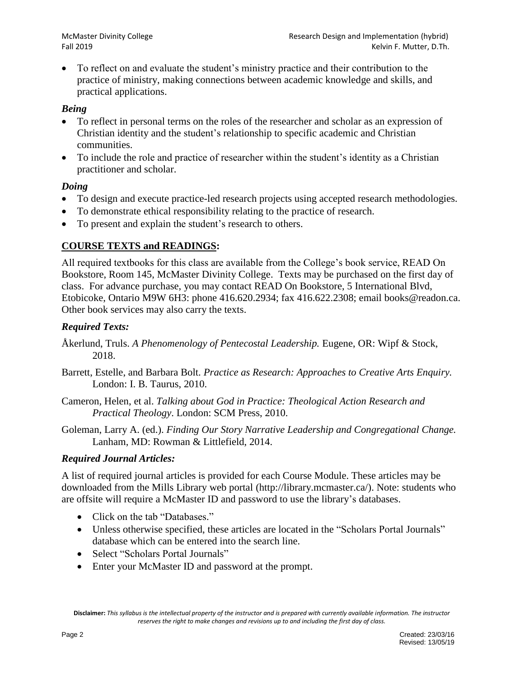To reflect on and evaluate the student's ministry practice and their contribution to the practice of ministry, making connections between academic knowledge and skills, and practical applications.

## *Being*

- To reflect in personal terms on the roles of the researcher and scholar as an expression of Christian identity and the student's relationship to specific academic and Christian communities.
- To include the role and practice of researcher within the student's identity as a Christian practitioner and scholar.

## *Doing*

- To design and execute practice-led research projects using accepted research methodologies.
- To demonstrate ethical responsibility relating to the practice of research.
- To present and explain the student's research to others.

## **COURSE TEXTS and READINGS:**

All required textbooks for this class are available from the College's book service, READ On Bookstore, Room 145, McMaster Divinity College. Texts may be purchased on the first day of class. For advance purchase, you may contact READ On Bookstore, 5 International Blvd, Etobicoke, Ontario M9W 6H3: phone 416.620.2934; fax 416.622.2308; email books@readon.ca. Other book services may also carry the texts.

## *Required Texts:*

- Åkerlund, Truls. *A Phenomenology of Pentecostal Leadership.* Eugene, OR: Wipf & Stock, 2018.
- Barrett, Estelle, and Barbara Bolt. *Practice as Research: Approaches to Creative Arts Enquiry.* London: I. B. Taurus, 2010.
- Cameron, Helen, et al. *Talking about God in Practice: Theological Action Research and Practical Theology*. London: SCM Press, 2010.
- Goleman, Larry A. (ed.). *Finding Our Story Narrative Leadership and Congregational Change.*  Lanham, MD: Rowman & Littlefield, 2014.

## *Required Journal Articles:*

A list of required journal articles is provided for each Course Module. These articles may be downloaded from the Mills Library web portal (http://library.mcmaster.ca/). Note: students who are offsite will require a McMaster ID and password to use the library's databases.

- Click on the tab "Databases."
- Unless otherwise specified, these articles are located in the "Scholars Portal Journals" database which can be entered into the search line.
- Select "Scholars Portal Journals"
- Enter your McMaster ID and password at the prompt.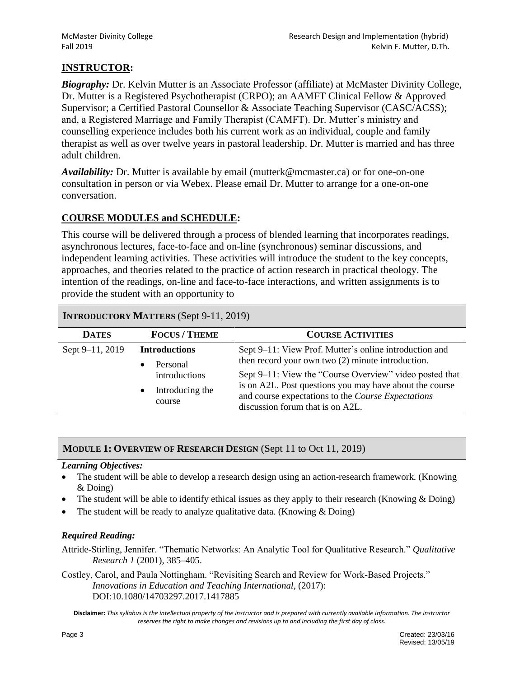## **INSTRUCTOR:**

*Biography:* Dr. Kelvin Mutter is an Associate Professor (affiliate) at McMaster Divinity College, Dr. Mutter is a Registered Psychotherapist (CRPO); an AAMFT Clinical Fellow & Approved Supervisor; a Certified Pastoral Counsellor & Associate Teaching Supervisor (CASC/ACSS); and, a Registered Marriage and Family Therapist (CAMFT). Dr. Mutter's ministry and counselling experience includes both his current work as an individual, couple and family therapist as well as over twelve years in pastoral leadership. Dr. Mutter is married and has three adult children.

*Availability:* Dr. Mutter is available by email (mutterk@mcmaster.ca) or for one-on-one consultation in person or via Webex. Please email Dr. Mutter to arrange for a one-on-one conversation.

## **COURSE MODULES and SCHEDULE:**

This course will be delivered through a process of blended learning that incorporates readings, asynchronous lectures, face-to-face and on-line (synchronous) seminar discussions, and independent learning activities. These activities will introduce the student to the key concepts, approaches, and theories related to the practice of action research in practical theology. The intention of the readings, on-line and face-to-face interactions, and written assignments is to provide the student with an opportunity to

#### **INTRODUCTORY MATTERS** (Sept 9-11, 2019)

| <b>DATES</b>    | <b>FOCUS/THEME</b>                                                                                       | <b>COURSE ACTIVITIES</b>                                                                                                                                                                                                                                                                                                      |  |
|-----------------|----------------------------------------------------------------------------------------------------------|-------------------------------------------------------------------------------------------------------------------------------------------------------------------------------------------------------------------------------------------------------------------------------------------------------------------------------|--|
| Sept 9-11, 2019 | <b>Introductions</b><br>Personal<br>$\bullet$<br>introductions<br>Introducing the<br>$\bullet$<br>course | Sept 9–11: View Prof. Mutter's online introduction and<br>then record your own two $(2)$ minute introduction.<br>Sept 9–11: View the "Course Overview" video posted that<br>is on A2L. Post questions you may have about the course<br>and course expectations to the Course Expectations<br>discussion forum that is on A2L. |  |

## **MODULE 1: OVERVIEW OF RESEARCH DESIGN** (Sept 11 to Oct 11, 2019)

#### *Learning Objectives:*

- The student will be able to develop a research design using an action-research framework. (Knowing & Doing)
- The student will be able to identify ethical issues as they apply to their research (Knowing & Doing)
- The student will be ready to analyze qualitative data. (Knowing & Doing)

## *Required Reading:*

Attride-Stirling, Jennifer. "Thematic Networks: An Analytic Tool for Qualitative Research." *Qualitative Research 1* (2001), 385–405.

Costley, Carol, and Paula Nottingham. "Revisiting Search and Review for Work-Based Projects." *Innovations in Education and Teaching International*, (2017): DOI:10.1080/14703297.2017.1417885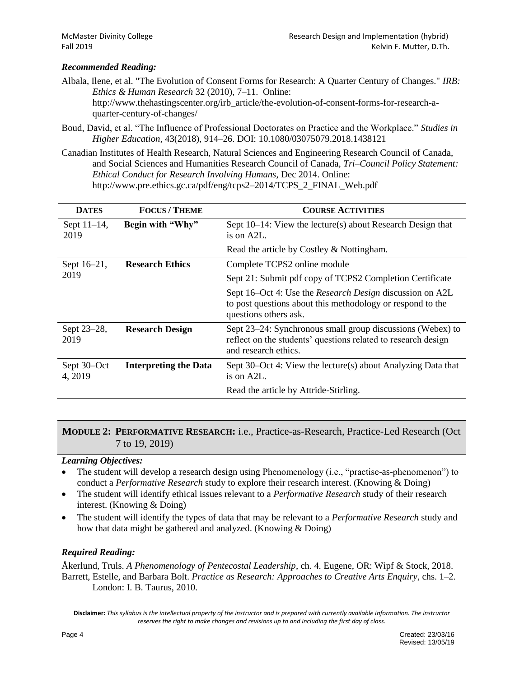#### *Recommended Reading:*

Albala, Ilene, et al. "The Evolution of Consent Forms for Research: A Quarter Century of Changes." *IRB: Ethics & Human Research* 32 (2010), 7–11. Online: http://www.thehastingscenter.org/irb\_article/the-evolution-of-consent-forms-for-research-a-

quarter-century-of-changes/

- Boud, David, et al. "The Influence of Professional Doctorates on Practice and the Workplace." *Studies in Higher Education,* 43(2018), 914–26. DOI: 10.1080/03075079.2018.1438121
- Canadian Institutes of Health Research, Natural Sciences and Engineering Research Council of Canada, and Social Sciences and Humanities Research Council of Canada, *Tri–Council Policy Statement: Ethical Conduct for Research Involving Humans*, Dec 2014. Online: http://www.pre.ethics.gc.ca/pdf/eng/tcps2–2014/TCPS\_2\_FINAL\_Web.pdf

| <b>DATES</b>           | <b>FOCUS / THEME</b>         | <b>COURSE ACTIVITIES</b>                                                                                                                               |
|------------------------|------------------------------|--------------------------------------------------------------------------------------------------------------------------------------------------------|
| Sept $11-14$ ,<br>2019 | Begin with "Why"             | Sept 10–14: View the lecture(s) about Research Design that<br>is on $A2L$ .                                                                            |
|                        |                              | Read the article by Costley & Nottingham.                                                                                                              |
| Sept 16-21,            | <b>Research Ethics</b>       | Complete TCPS2 online module                                                                                                                           |
| 2019                   |                              | Sept 21: Submit pdf copy of TCPS2 Completion Certificate                                                                                               |
|                        |                              | Sept 16–Oct 4: Use the <i>Research Design</i> discussion on A2L<br>to post questions about this methodology or respond to the<br>questions others ask. |
| Sept 23–28,<br>2019    | <b>Research Design</b>       | Sept 23–24: Synchronous small group discussions (Webex) to<br>reflect on the students' questions related to research design<br>and research ethics.    |
| Sept 30–Oct<br>4, 2019 | <b>Interpreting the Data</b> | Sept 30–Oct 4: View the lecture(s) about Analyzing Data that<br>is on A2L.                                                                             |
|                        |                              | Read the article by Attride-Stirling.                                                                                                                  |

## **MODULE 2: PERFORMATIVE RESEARCH:** i.e., Practice-as-Research, Practice-Led Research (Oct 7 to 19, 2019)

#### *Learning Objectives:*

- The student will develop a research design using Phenomenology (i.e., "practise-as-phenomenon") to conduct a *Performative Research* study to explore their research interest. (Knowing & Doing)
- The student will identify ethical issues relevant to a *Performative Research* study of their research interest. (Knowing & Doing)
- The student will identify the types of data that may be relevant to a *Performative Research* study and how that data might be gathered and analyzed. (Knowing & Doing)

#### *Required Reading:*

Åkerlund, Truls. *A Phenomenology of Pentecostal Leadership*, ch. 4*.* Eugene, OR: Wipf & Stock, 2018. Barrett, Estelle, and Barbara Bolt. *Practice as Research: Approaches to Creative Arts Enquiry*, chs. 1–2*.* London: I. B. Taurus, 2010.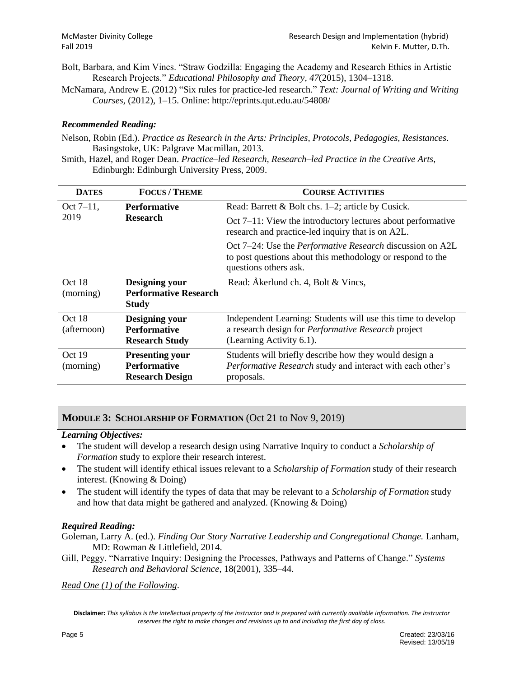- Bolt, Barbara, and Kim Vincs. "Straw Godzilla: Engaging the Academy and Research Ethics in Artistic Research Projects." *Educational Philosophy and Theory, 47*(2015), 1304–1318.
- McNamara, Andrew E. (2012) "Six rules for practice-led research." *Text: Journal of Writing and Writing Courses*, (2012), 1–15. Online: http://eprints.qut.edu.au/54808/

#### *Recommended Reading:*

- Nelson, Robin (Ed.). *Practice as Research in the Arts: Principles, Protocols, Pedagogies, Resistances*. Basingstoke, UK: Palgrave Macmillan, 2013.
- Smith, Hazel, and Roger Dean. *Practice–led Research, Research–led Practice in the Creative Arts,*  Edinburgh: Edinburgh University Press, 2009.

| <b>DATES</b>          | <b>FOCUS/THEME</b>                                                      | <b>COURSE ACTIVITIES</b>                                                                                                                                |  |
|-----------------------|-------------------------------------------------------------------------|---------------------------------------------------------------------------------------------------------------------------------------------------------|--|
| $Oct 7-11,$           | <b>Performative</b>                                                     | Read: Barrett & Bolt chs. $1-2$ ; article by Cusick.                                                                                                    |  |
| 2019                  | <b>Research</b>                                                         | Oct $7-11$ : View the introductory lectures about performative<br>research and practice-led inquiry that is on A2L.                                     |  |
|                       |                                                                         | Oct 7–24: Use the <i>Performative Research</i> discussion on A2L<br>to post questions about this methodology or respond to the<br>questions others ask. |  |
| Oct 18<br>(morning)   | Designing your<br><b>Performative Research</b><br><b>Study</b>          | Read: Åkerlund ch. 4, Bolt & Vincs,                                                                                                                     |  |
| Oct 18<br>(afternoon) | Designing your<br><b>Performative</b><br><b>Research Study</b>          | Independent Learning: Students will use this time to develop<br>a research design for <i>Performative Research</i> project<br>(Learning Activity 6.1).  |  |
| Oct 19<br>(morning)   | <b>Presenting your</b><br><b>Performative</b><br><b>Research Design</b> | Students will briefly describe how they would design a<br>Performative Research study and interact with each other's<br>proposals.                      |  |

## **MODULE 3: SCHOLARSHIP OF FORMATION** (Oct 21 to Nov 9, 2019)

#### *Learning Objectives:*

- The student will develop a research design using Narrative Inquiry to conduct a *Scholarship of Formation* study to explore their research interest.
- The student will identify ethical issues relevant to a *Scholarship of Formation* study of their research interest. (Knowing & Doing)
- The student will identify the types of data that may be relevant to a *Scholarship of Formation* study and how that data might be gathered and analyzed. (Knowing & Doing)

#### *Required Reading:*

Goleman, Larry A. (ed.). *Finding Our Story Narrative Leadership and Congregational Change*. Lanham, MD: Rowman & Littlefield, 2014.

Gill, Peggy. "Narrative Inquiry: Designing the Processes, Pathways and Patterns of Change." *Systems Research and Behavioral Science*, 18(2001), 335–44.

*Read One (1) of the Following*.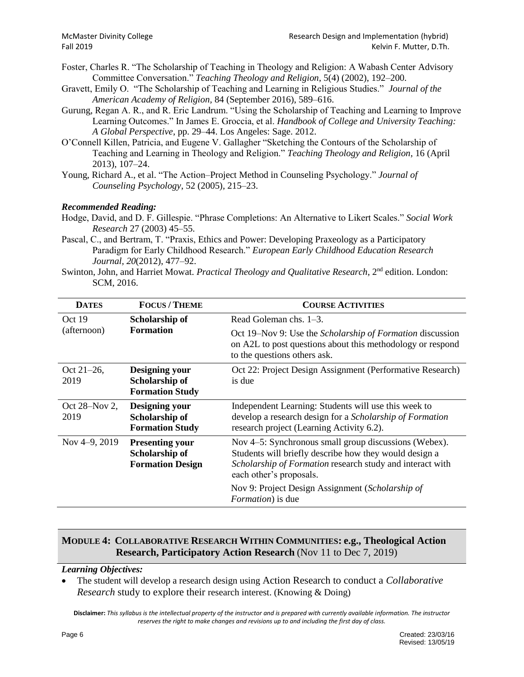- Foster, Charles R. "The Scholarship of Teaching in Theology and Religion: A Wabash Center Advisory Committee Conversation." *Teaching Theology and Religion*, 5(4) (2002), 192–200.
- Gravett, Emily O. "The Scholarship of Teaching and Learning in Religious Studies." *Journal of the American Academy of Religion,* 84 (September 2016), 589–616.
- Gurung, Regan A. R., and R. Eric Landrum. "Using the Scholarship of Teaching and Learning to Improve Learning Outcomes." In James E. Groccia, et al. *Handbook of College and University Teaching: A Global Perspective*, pp. 29–44. Los Angeles: Sage. 2012.
- O'Connell Killen, Patricia, and Eugene V. Gallagher "Sketching the Contours of the Scholarship of Teaching and Learning in Theology and Religion." *Teaching Theology and Religion*, 16 (April 2013), 107–24.
- Young, Richard A., et al. "The Action–Project Method in Counseling Psychology." *Journal of Counseling Psychology*, 52 (2005), 215–23.

#### *Recommended Reading:*

- Hodge, David, and D. F. Gillespie. "Phrase Completions: An Alternative to Likert Scales." *Social Work Research* 27 (2003) 45–55.
- Pascal, C., and Bertram, T. "Praxis, Ethics and Power: Developing Praxeology as a Participatory Paradigm for Early Childhood Research." *European Early Childhood Education Research Journal, 20*(2012), 477–92.
- Swinton, John, and Harriet Mowat. *Practical Theology and Qualitative Research*, 2<sup>nd</sup> edition. London: SCM, 2016.

| <b>DATES</b>  | <b>FOCUS / THEME</b>                                                            | <b>COURSE ACTIVITIES</b>                                                                                                                                |
|---------------|---------------------------------------------------------------------------------|---------------------------------------------------------------------------------------------------------------------------------------------------------|
| Oct 19        | Scholarship of                                                                  | Read Goleman chs. $1-3$ .                                                                                                                               |
| (afternoon)   | <b>Formation</b>                                                                | Oct 19-Nov 9: Use the Scholarship of Formation discussion<br>on A2L to post questions about this methodology or respond<br>to the questions others ask. |
| Oct $21-26$ , | <b>Designing your</b>                                                           | Oct 22: Project Design Assignment (Performative Research)                                                                                               |
| 2019          | Scholarship of<br><b>Formation Study</b>                                        | is due                                                                                                                                                  |
| Oct 28–Nov 2, | Independent Learning: Students will use this week to<br><b>Designing your</b>   |                                                                                                                                                         |
| 2019          | Scholarship of<br><b>Formation Study</b>                                        | develop a research design for a Scholarship of Formation<br>research project (Learning Activity 6.2).                                                   |
| Nov 4–9, 2019 | <b>Presenting your</b><br>Nov 4–5: Synchronous small group discussions (Webex). |                                                                                                                                                         |
|               | Scholarship of<br><b>Formation Design</b>                                       | Students will briefly describe how they would design a<br>Scholarship of Formation research study and interact with<br>each other's proposals.          |
|               |                                                                                 | Nov 9: Project Design Assignment (Scholarship of<br><i>Formation</i> ) is due                                                                           |

## **MODULE 4: COLLABORATIVE RESEARCH WITHIN COMMUNITIES: e.g., Theological Action Research, Participatory Action Research** (Nov 11 to Dec 7, 2019)

#### *Learning Objectives:*

 The student will develop a research design using Action Research to conduct a *Collaborative Research* study to explore their research interest. (Knowing & Doing)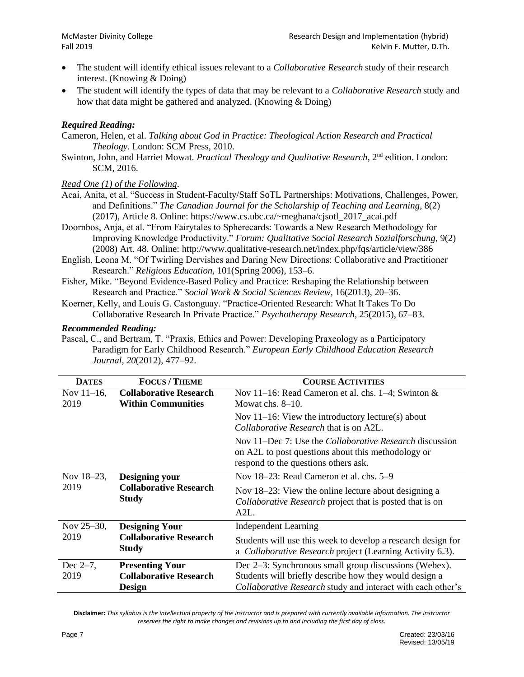- The student will identify ethical issues relevant to a *Collaborative Research* study of their research interest. (Knowing & Doing)
- The student will identify the types of data that may be relevant to a *Collaborative Research* study and how that data might be gathered and analyzed. (Knowing & Doing)

#### *Required Reading:*

Cameron, Helen, et al. *Talking about God in Practice: Theological Action Research and Practical Theology*. London: SCM Press, 2010.

Swinton, John, and Harriet Mowat. *Practical Theology and Qualitative Research*, 2<sup>nd</sup> edition. London: SCM, 2016.

#### *Read One (1) of the Following*.

- Acai, Anita, et al. "Success in Student-Faculty/Staff SoTL Partnerships: Motivations, Challenges, Power, and Definitions." *The Canadian Journal for the Scholarship of Teaching and Learning*, 8(2) (2017), Article 8. Online: https://www.cs.ubc.ca/~meghana/cjsotl\_2017\_acai.pdf
- Doornbos, Anja, et al. "From Fairytales to Spherecards: Towards a New Research Methodology for Improving Knowledge Productivity." *Forum: Qualitative Social Research Sozialforschung,* 9(2) (2008) Art. 48. Online: http://www.qualitative-research.net/index.php/fqs/article/view/386
- English, Leona M. "Of Twirling Dervishes and Daring New Directions: Collaborative and Practitioner Research." *Religious Education*, 101(Spring 2006), 153–6.
- Fisher, Mike. "Beyond Evidence-Based Policy and Practice: Reshaping the Relationship between Research and Practice." *Social Work & Social Sciences Review,* 16(2013), 20–36.
- Koerner, Kelly, and Louis G. Castonguay. "Practice-Oriented Research: What It Takes To Do Collaborative Research In Private Practice." *Psychotherapy Research*, 25(2015), 67–83.

#### *Recommended Reading:*

Pascal, C., and Bertram, T. "Praxis, Ethics and Power: Developing Praxeology as a Participatory Paradigm for Early Childhood Research." *European Early Childhood Education Research Journal, 20*(2012), 477–92.

| <b>DATES</b>          | <b>FOCUS/THEME</b>                                         | <b>COURSE ACTIVITIES</b>                                                                                                                                     |  |
|-----------------------|------------------------------------------------------------|--------------------------------------------------------------------------------------------------------------------------------------------------------------|--|
| Nov $11-16$ ,<br>2019 | <b>Collaborative Research</b><br><b>Within Communities</b> | Nov 11–16: Read Cameron et al. chs. 1–4; Swinton $\&$<br>Mowat chs. $8-10$ .                                                                                 |  |
|                       |                                                            | Nov $11-16$ : View the introductory lecture(s) about<br><i>Collaborative Research</i> that is on A2L.                                                        |  |
|                       |                                                            | Nov 11–Dec 7: Use the <i>Collaborative Research</i> discussion<br>on A2L to post questions about this methodology or<br>respond to the questions others ask. |  |
| Nov 18-23,            | Designing your                                             | Nov 18–23: Read Cameron et al. chs. 5–9                                                                                                                      |  |
| 2019                  | <b>Collaborative Research</b><br><b>Study</b>              | Nov 18–23: View the online lecture about designing a<br>Collaborative Research project that is posted that is on<br>A2L.                                     |  |
| Nov 25-30,            | <b>Designing Your</b>                                      | <b>Independent Learning</b>                                                                                                                                  |  |
| 2019                  | <b>Collaborative Research</b><br><b>Study</b>              | Students will use this week to develop a research design for<br>a Collaborative Research project (Learning Activity 6.3).                                    |  |
| Dec $2-7$ ,           | <b>Presenting Your</b>                                     | Dec 2–3: Synchronous small group discussions (Webex).                                                                                                        |  |
| 2019                  | <b>Collaborative Research</b>                              | Students will briefly describe how they would design a                                                                                                       |  |
|                       | <b>Design</b>                                              | <i>Collaborative Research</i> study and interact with each other's                                                                                           |  |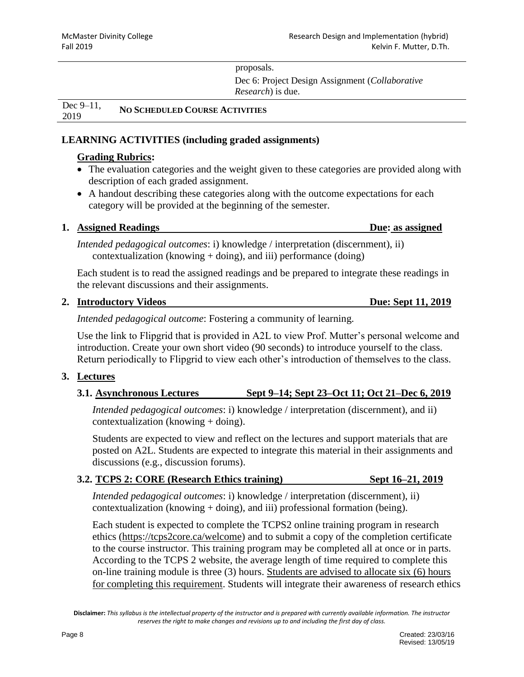## proposals.

Dec 6: Project Design Assignment (*Collaborative Research*) is due.

Dec 9–11, 2019 **NO SCHEDULED COURSE ACTIVITIES**

## **LEARNING ACTIVITIES (including graded assignments)**

# **Grading Rubrics:**

- The evaluation categories and the weight given to these categories are provided along with description of each graded assignment.
- A handout describing these categories along with the outcome expectations for each category will be provided at the beginning of the semester.

## **1. Assigned Readings Due: as assigned**

*Intended pedagogical outcomes*: i) knowledge / interpretation (discernment), ii) contextualization (knowing  $+$  doing), and iii) performance (doing)

Each student is to read the assigned readings and be prepared to integrate these readings in the relevant discussions and their assignments.

## **2. Introductory Videos Due: Sept 11, 2019**

*Intended pedagogical outcome*: Fostering a community of learning.

Use the link to Flipgrid that is provided in A2L to view Prof. Mutter's personal welcome and introduction. Create your own short video (90 seconds) to introduce yourself to the class. Return periodically to Flipgrid to view each other's introduction of themselves to the class.

## **3. Lectures**

**3.1. Asynchronous Lectures Sept 9–14; Sept 23–Oct 11; Oct 21–Dec 6, 2019**

*Intended pedagogical outcomes*: i) knowledge / interpretation (discernment), and ii) contextualization (knowing + doing).

Students are expected to view and reflect on the lectures and support materials that are posted on A2L. Students are expected to integrate this material in their assignments and discussions (e.g., discussion forums).

## **3.2. TCPS 2: CORE (Research Ethics training) Sept 16–21, 2019**

*Intended pedagogical outcomes*: i) knowledge / interpretation (discernment), ii) contextualization (knowing + doing), and iii) professional formation (being).

Each student is expected to complete the TCPS2 online training program in research ethics [\(https://tcps2core.ca/welcome\)](https://tcps2core.ca/welcome) and to submit a copy of the completion certificate to the course instructor. This training program may be completed all at once or in parts. According to the TCPS 2 website, the average length of time required to complete this on-line training module is three (3) hours. Students are advised to allocate six (6) hours for completing this requirement. Students will integrate their awareness of research ethics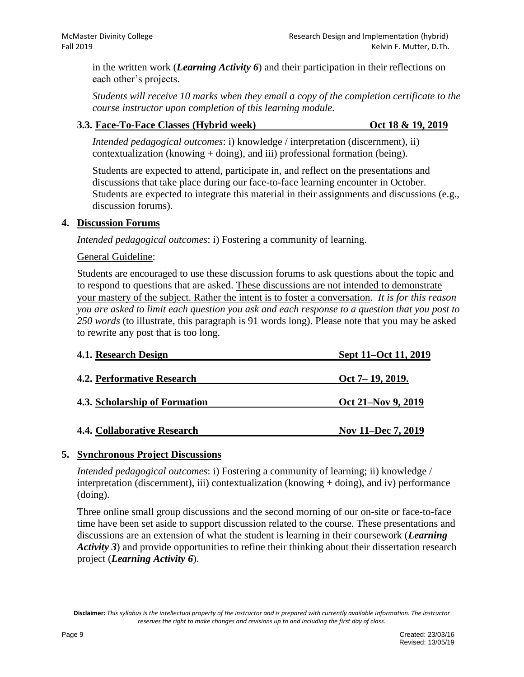in the written work (*Learning Activity 6*) and their participation in their reflections on each other's projects.

*Students will receive 10 marks when they email a copy of the completion certificate to the course instructor upon completion of this learning module.* 

### **3.3. Face-To-Face Classes (Hybrid week) Oct 18 & 19, 2019**

*Intended pedagogical outcomes*: i) knowledge / interpretation (discernment), ii) contextualization (knowing + doing), and iii) professional formation (being).

Students are expected to attend, participate in, and reflect on the presentations and discussions that take place during our face-to-face learning encounter in October. Students are expected to integrate this material in their assignments and discussions (e.g., discussion forums).

## **4. Discussion Forums**

*Intended pedagogical outcomes*: i) Fostering a community of learning.

#### General Guideline:

Students are encouraged to use these discussion forums to ask questions about the topic and to respond to questions that are asked. These discussions are not intended to demonstrate your mastery of the subject. Rather the intent is to foster a conversation. *It is for this reason you are asked to limit each question you ask and each response to a question that you post to 250 words* (to illustrate, this paragraph is 91 words long). Please note that you may be asked to rewrite any post that is too long.

| 4.1. Research Design              | Sept 11–Oct 11, 2019 |
|-----------------------------------|----------------------|
| <b>4.2. Performative Research</b> | $Oct 7-19, 2019.$    |
| 4.3. Scholarship of Formation     | Oct 21–Nov 9, 2019   |
| 4.4. Collaborative Research       | Nov 11–Dec 7, 2019   |

## **5. Synchronous Project Discussions**

*Intended pedagogical outcomes*: i) Fostering a community of learning; ii) knowledge / interpretation (discernment), iii) contextualization (knowing + doing), and iv) performance (doing).

Three online small group discussions and the second morning of our on-site or face-to-face time have been set aside to support discussion related to the course. These presentations and discussions are an extension of what the student is learning in their coursework (*Learning Activity 3*) and provide opportunities to refine their thinking about their dissertation research project (*Learning Activity 6*).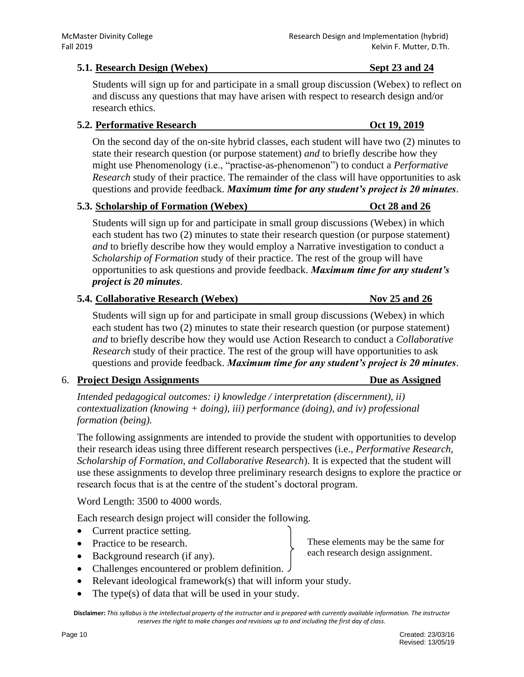### **5.1. Research Design (Webex) Sept 23 and 24**

Students will sign up for and participate in a small group discussion (Webex) to reflect on and discuss any questions that may have arisen with respect to research design and/or research ethics.

#### **5.2. Performative Research Oct 19, 2019**

On the second day of the on-site hybrid classes, each student will have two (2) minutes to state their research question (or purpose statement) *and* to briefly describe how they might use Phenomenology (i.e., "practise-as-phenomenon") to conduct a *Performative Research* study of their practice. The remainder of the class will have opportunities to ask questions and provide feedback. *Maximum time for any student's project is 20 minutes*.

#### **5.3. Scholarship of Formation (Webex) Oct 28 and 26**

Students will sign up for and participate in small group discussions (Webex) in which each student has two (2) minutes to state their research question (or purpose statement) *and* to briefly describe how they would employ a Narrative investigation to conduct a *Scholarship of Formation* study of their practice. The rest of the group will have opportunities to ask questions and provide feedback. *Maximum time for any student's project is 20 minutes*.

#### **5.4. Collaborative Research (Webex) Nov 25 and 26**

Students will sign up for and participate in small group discussions (Webex) in which each student has two (2) minutes to state their research question (or purpose statement) *and* to briefly describe how they would use Action Research to conduct a *Collaborative Research* study of their practice. The rest of the group will have opportunities to ask questions and provide feedback. *Maximum time for any student's project is 20 minutes*.

# 6. **Project Design Assignments Due as Assigned**

*Intended pedagogical outcomes: i) knowledge / interpretation (discernment), ii) contextualization (knowing + doing), iii) performance (doing), and iv) professional formation (being).*

The following assignments are intended to provide the student with opportunities to develop their research ideas using three different research perspectives (i.e., *Performative Research, Scholarship of Formation, and Collaborative Research*). It is expected that the student will use these assignments to develop three preliminary research designs to explore the practice or research focus that is at the centre of the student's doctoral program.

Word Length: 3500 to 4000 words.

Each research design project will consider the following.

- Current practice setting.
- Practice to be research.
- Background research (if any).
- Challenges encountered or problem definition.
- $\bullet$  Relevant ideological framework(s) that will inform your study.
- The type(s) of data that will be used in your study.

**Disclaimer:** *This syllabus is the intellectual property of the instructor and is prepared with currently available information. The instructor reserves the right to make changes and revisions up to and including the first day of class.*

These elements may be the same for each research design assignment.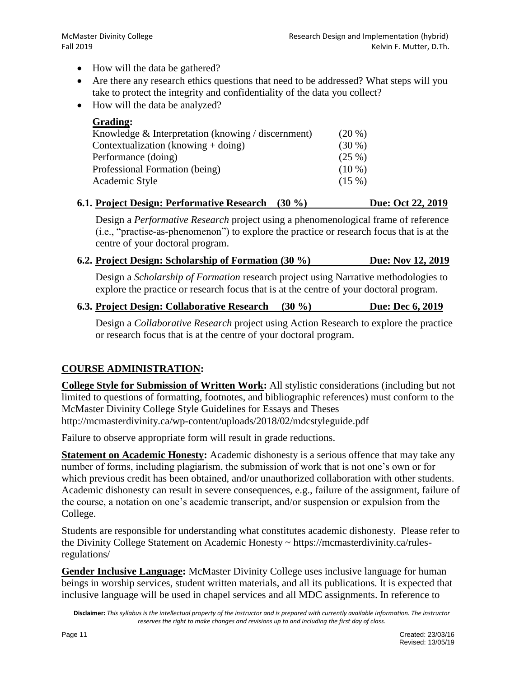- How will the data be gathered?
- Are there any research ethics questions that need to be addressed? What steps will you take to protect the integrity and confidentiality of the data you collect?
- How will the data be analyzed?

| <b>Grading:</b>                                    |          |
|----------------------------------------------------|----------|
| Knowledge & Interpretation (knowing / discernment) | $(20\%)$ |
| Contextualization (knowing $+$ doing)              | $(30\%)$ |
| Performance (doing)                                | (25%)    |
| Professional Formation (being)                     | $(10\%)$ |
| Academic Style                                     | (15%)    |
|                                                    |          |

## **6.1. Project Design: Performative Research (30 %) Due: Oct 22, 2019**

Design a *Performative Research* project using a phenomenological frame of reference (i.e., "practise-as-phenomenon") to explore the practice or research focus that is at the centre of your doctoral program.

| 6.2. Project Design: Scholarship of Formation (30 %)                                       | Due: Nov 12, 2019 |
|--------------------------------------------------------------------------------------------|-------------------|
| Design a <i>Scholarship of Formation</i> research project using Narrative methodologies to |                   |
| explore the practice or research focus that is at the centre of your doctoral program.     |                   |

**6.3. Project Design: Collaborative Research (30 %) Due: Dec 6, 2019**

Design a *Collaborative Research* project using Action Research to explore the practice or research focus that is at the centre of your doctoral program.

# **COURSE ADMINISTRATION:**

**College Style for Submission of Written Work:** All stylistic considerations (including but not limited to questions of formatting, footnotes, and bibliographic references) must conform to the McMaster Divinity College Style Guidelines for Essays and Theses http://mcmasterdivinity.ca/wp-content/uploads/2018/02/mdcstyleguide.pdf

Failure to observe appropriate form will result in grade reductions.

**Statement on Academic Honesty:** Academic dishonesty is a serious offence that may take any number of forms, including plagiarism, the submission of work that is not one's own or for which previous credit has been obtained, and/or unauthorized collaboration with other students. Academic dishonesty can result in severe consequences, e.g., failure of the assignment, failure of the course, a notation on one's academic transcript, and/or suspension or expulsion from the College.

Students are responsible for understanding what constitutes academic dishonesty. Please refer to the Divinity College Statement on Academic Honesty ~ https://mcmasterdivinity.ca/rulesregulations/

**Gender Inclusive Language:** McMaster Divinity College uses inclusive language for human beings in worship services, student written materials, and all its publications. It is expected that inclusive language will be used in chapel services and all MDC assignments. In reference to

**Disclaimer:** *This syllabus is the intellectual property of the instructor and is prepared with currently available information. The instructor reserves the right to make changes and revisions up to and including the first day of class.*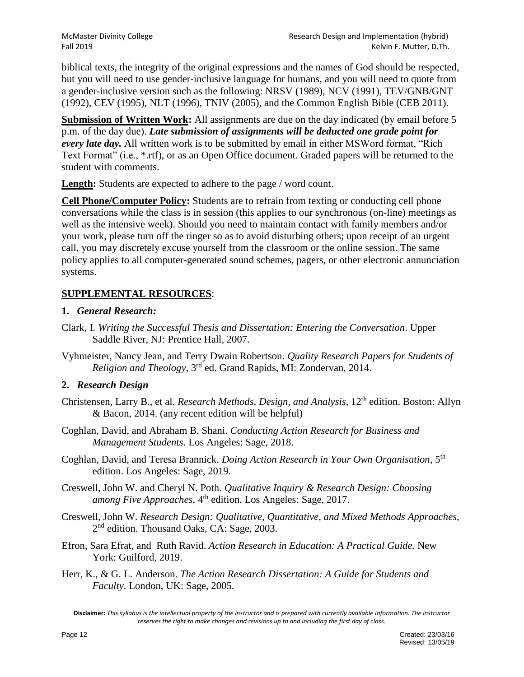biblical texts, the integrity of the original expressions and the names of God should be respected, but you will need to use gender-inclusive language for humans, and you will need to quote from a gender-inclusive version such as the following: NRSV (1989), NCV (1991), TEV/GNB/GNT (1992), CEV (1995), NLT (1996), TNIV (2005), and the Common English Bible (CEB 2011).

**Submission of Written Work:** All assignments are due on the day indicated (by email before 5) p.m. of the day due). *Late submission of assignments will be deducted one grade point for every late day.* All written work is to be submitted by email in either MSWord format, "Rich Text Format" (i.e., \*.rtf), or as an Open Office document. Graded papers will be returned to the student with comments.

**Length:** Students are expected to adhere to the page / word count.

**Cell Phone/Computer Policy:** Students are to refrain from texting or conducting cell phone conversations while the class is in session (this applies to our synchronous (on-line) meetings as well as the intensive week). Should you need to maintain contact with family members and/or your work, please turn off the ringer so as to avoid disturbing others; upon receipt of an urgent call, you may discretely excuse yourself from the classroom or the online session. The same policy applies to all computer-generated sound schemes, pagers, or other electronic annunciation systems.

## **SUPPLEMENTAL RESOURCES**:

## **1.** *General Research:*

- Clark, I. *Writing the Successful Thesis and Dissertation: Entering the Conversation*. Upper Saddle River, NJ: Prentice Hall, 2007.
- Vyhmeister, Nancy Jean, and Terry Dwain Robertson. *Quality Research Papers for Students of Religion and Theology*, 3rd ed. Grand Rapids, MI: Zondervan, 2014.

## **2.** *Research Design*

- Christensen, Larry B., et al. *Research Methods, Design, and Analysis*, 12th edition. Boston: Allyn & Bacon, 2014. (any recent edition will be helpful)
- Coghlan, David, and Abraham B. Shani. *Conducting Action Research for Business and Management Students*. Los Angeles: Sage, 2018.
- Coghlan, David, and Teresa Brannick. *Doing Action Research in Your Own Organisation*, 5th edition. Los Angeles: Sage, 2019.
- Creswell, John W. and Cheryl N. Poth. *Qualitative Inquiry & Research Design: Choosing among Five Approaches*, 4<sup>th</sup> edition. Los Angeles: Sage, 2017.
- Creswell, John W. *Research Design: Qualitative, Quantitative, and Mixed Methods Approaches,* 2<sup>nd</sup> edition. Thousand Oaks, CA: Sage, 2003.
- Efron, Sara Efrat, and Ruth Ravid. *Action Research in Education: A Practical Guide.* New York: Guilford, 2019.
- Herr, K., & G. L. Anderson. *The Action Research Dissertation: A Guide for Students and Faculty*. London, UK: Sage, 2005.

**Disclaimer:** *This syllabus is the intellectual property of the instructor and is prepared with currently available information. The instructor reserves the right to make changes and revisions up to and including the first day of class.*